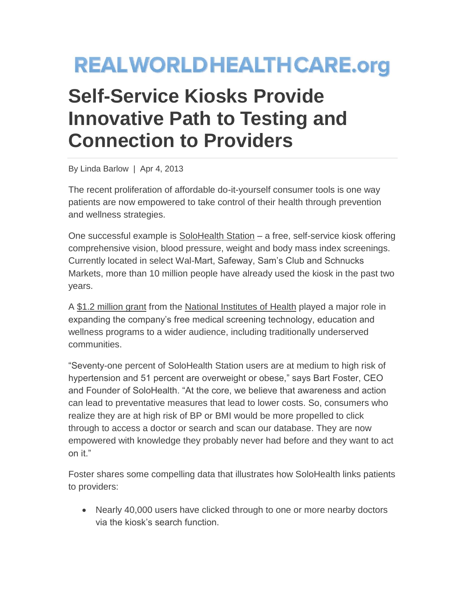## **REALWORLDHEALTHCARE.org**

## **Self-Service Kiosks Provide Innovative Path to Testing and Connection to Providers**

By Linda Barlow | Apr 4, 2013

The recent proliferation of affordable do-it-yourself consumer tools is one way patients are now empowered to take control of their health through prevention and wellness strategies.

One successful example is [SoloHealth Station](http://www.solohealth.com/) – a free, self-service kiosk offering comprehensive vision, blood pressure, weight and body mass index screenings. Currently located in select Wal-Mart, Safeway, Sam's Club and Schnucks Markets, more than 10 million people have already used the kiosk in the past two years.

A [\\$1.2 million grant](http://www.prnewswire.com/news-releases/solohealth-awarded-grant-from-the-national-institutes-of-health-nih-to-develop-self-service-health--wellness-kiosks---changing-the-dynamics-of-health-care-delivery-96557469.html) from the [National Institutes of Health](http://www.nih.gov/) played a major role in expanding the company's free medical screening technology, education and wellness programs to a wider audience, including traditionally underserved communities.

"Seventy-one percent of SoloHealth Station users are at medium to high risk of hypertension and 51 percent are overweight or obese," says Bart Foster, CEO and Founder of SoloHealth. "At the core, we believe that awareness and action can lead to preventative measures that lead to lower costs. So, consumers who realize they are at high risk of BP or BMI would be more propelled to click through to access a doctor or search and scan our database. They are now empowered with knowledge they probably never had before and they want to act on it."

Foster shares some compelling data that illustrates how SoloHealth links patients to providers:

• Nearly 40,000 users have clicked through to one or more nearby doctors via the kiosk's search function.